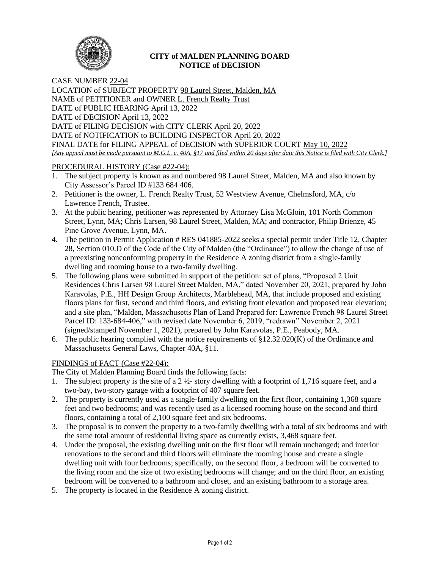

## **CITY of MALDEN PLANNING BOARD NOTICE of DECISION**

CASE NUMBER 22-04 LOCATION of SUBJECT PROPERTY 98 Laurel Street, Malden, MA NAME of PETITIONER and OWNER L. French Realty Trust DATE of PUBLIC HEARING April 13, 2022 DATE of DECISION April 13, 2022 DATE of FILING DECISION with CITY CLERK April 20, 2022 DATE of NOTIFICATION to BUILDING INSPECTOR April 20, 2022 FINAL DATE for FILING APPEAL of DECISION with SUPERIOR COURT May 10, 2022 *[Any appeal must be made pursuant to M.G.L. c. 40A, §17 and filed within 20 days after date this Notice is filed with City Clerk.]* 

# PROCEDURAL HISTORY (Case #22-04):

- 1. The subject property is known as and numbered 98 Laurel Street, Malden, MA and also known by City Assessor's Parcel ID #133 684 406.
- 2. Petitioner is the owner, L. French Realty Trust, 52 Westview Avenue, Chelmsford, MA, c/o Lawrence French, Trustee.
- 3. At the public hearing, petitioner was represented by Attorney Lisa McGloin, 101 North Common Street, Lynn, MA; Chris Larsen, 98 Laurel Street, Malden, MA; and contractor, Philip Brienze, 45 Pine Grove Avenue, Lynn, MA.
- 4. The petition in Permit Application # RES 041885-2022 seeks a special permit under Title 12, Chapter 28, Section 010.D of the Code of the City of Malden (the "Ordinance") to allow the change of use of a preexisting nonconforming property in the Residence A zoning district from a single-family dwelling and rooming house to a two-family dwelling.
- 5. The following plans were submitted in support of the petition: set of plans, "Proposed 2 Unit Residences Chris Larsen 98 Laurel Street Malden, MA," dated November 20, 2021, prepared by John Karavolas, P.E., HH Design Group Architects, Marblehead, MA, that include proposed and existing floors plans for first, second and third floors, and existing front elevation and proposed rear elevation; and a site plan, "Malden, Massachusetts Plan of Land Prepared for: Lawrence French 98 Laurel Street Parcel ID: 133-684-406," with revised date November 6, 2019, "redrawn" November 2, 2021 (signed/stamped November 1, 2021), prepared by John Karavolas, P.E., Peabody, MA.
- 6. The public hearing complied with the notice requirements of  $\S 12.32.020(K)$  of the Ordinance and Massachusetts General Laws, Chapter 40A, §11.

## FINDINGS of FACT (Case #22-04):

The City of Malden Planning Board finds the following facts:

- 1. The subject property is the site of a 2 ½- story dwelling with a footprint of 1,716 square feet, and a two-bay, two-story garage with a footprint of 407 square feet.
- 2. The property is currently used as a single-family dwelling on the first floor, containing 1,368 square feet and two bedrooms; and was recently used as a licensed rooming house on the second and third floors, containing a total of 2,100 square feet and six bedrooms.
- 3. The proposal is to convert the property to a two-family dwelling with a total of six bedrooms and with the same total amount of residential living space as currently exists, 3,468 square feet.
- 4. Under the proposal, the existing dwelling unit on the first floor will remain unchanged; and interior renovations to the second and third floors will eliminate the rooming house and create a single dwelling unit with four bedrooms; specifically, on the second floor, a bedroom will be converted to the living room and the size of two existing bedrooms will change; and on the third floor, an existing bedroom will be converted to a bathroom and closet, and an existing bathroom to a storage area.
- 5. The property is located in the Residence A zoning district.